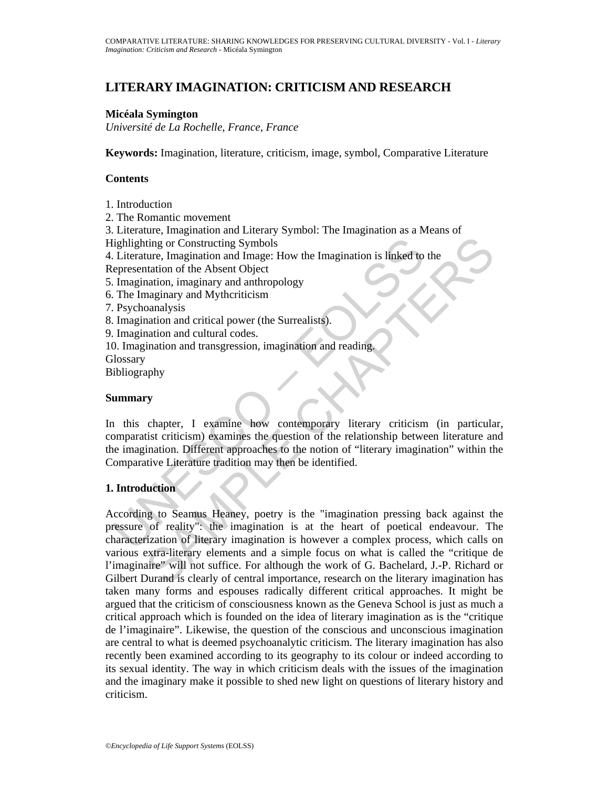# **LITERARY IMAGINATION: CRITICISM AND RESEARCH**

#### **Micéala Symington**

*Université de La Rochelle, France, France* 

**Keywords:** Imagination, literature, criticism, image, symbol, Comparative Literature

### **Contents**

- 1. Introduction
- 2. The Romantic movement

3. Literature, Imagination and Literary Symbol: The Imagination as a Means of

Highlighting or Constructing Symbols

4. Literature, Imagination and Image: How the Imagination is linked to the

Representation of the Absent Object

- 5. Imagination, imaginary and anthropology
- 6. The Imaginary and Mythcriticism
- 7. Psychoanalysis
- 8. Imagination and critical power (the Surrealists).
- 9. Imagination and cultural codes.

10. Imagination and transgression, imagination and reading.

**Glossary** 

Bibliography

#### **Summary**

Exercution of the Absent Offering Symbols<br>
Literature, Imagination and Image: How the Imagination is linked to<br>
eperseentation of the Absent Object<br>
I. Imagination, imaginary and anthropology<br>
The Imagination and critical In this chapter, I examine how contemporary literary criticism (in particular, comparatist criticism) examines the question of the relationship between literature and the imagination. Different approaches to the notion of "literary imagination" within the Comparative Literature tradition may then be identified.

### **1. Introduction**

ting or Constructing Symbols<br>
iure, Imagination and Image: How the Imagination is linked to the<br>
intation of the Absent Object<br>
nation, imaginary and anthropology<br>
maginary and Mytheriticism<br>
mation and critical power (the According to Seamus Heaney, poetry is the "imagination pressing back against the pressure of reality": the imagination is at the heart of poetical endeavour. The characterization of literary imagination is however a complex process, which calls on various extra-literary elements and a simple focus on what is called the "critique de l'imaginaire" will not suffice. For although the work of G. Bachelard, J.-P. Richard or Gilbert Durand is clearly of central importance, research on the literary imagination has taken many forms and espouses radically different critical approaches. It might be argued that the criticism of consciousness known as the Geneva School is just as much a critical approach which is founded on the idea of literary imagination as is the "critique de l'imaginaire". Likewise, the question of the conscious and unconscious imagination are central to what is deemed psychoanalytic criticism. The literary imagination has also recently been examined according to its geography to its colour or indeed according to its sexual identity. The way in which criticism deals with the issues of the imagination and the imaginary make it possible to shed new light on questions of literary history and criticism.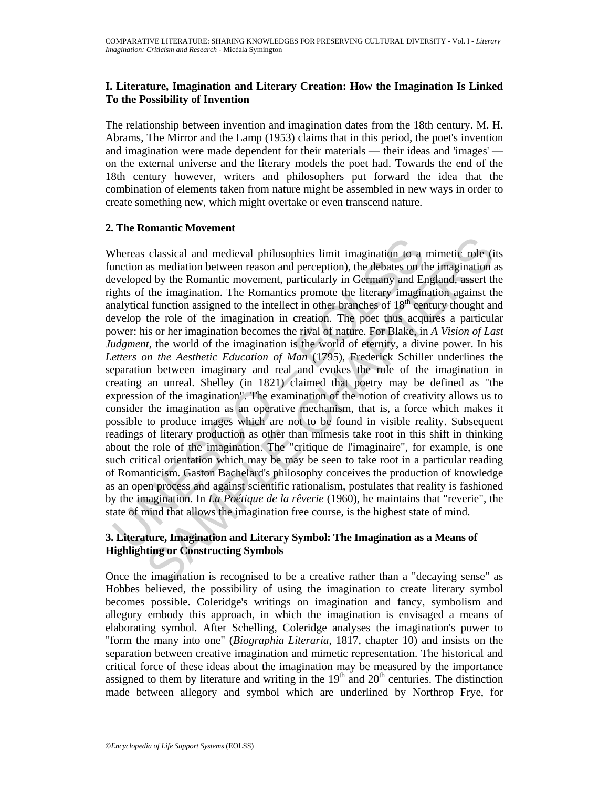### **I. Literature, Imagination and Literary Creation: How the Imagination Is Linked To the Possibility of Invention**

The relationship between invention and imagination dates from the 18th century. M. H. Abrams, The Mirror and the Lamp (1953) claims that in this period, the poet's invention and imagination were made dependent for their materials — their ideas and 'images' on the external universe and the literary models the poet had. Towards the end of the 18th century however, writers and philosophers put forward the idea that the combination of elements taken from nature might be assembled in new ways in order to create something new, which might overtake or even transcend nature.

#### **2. The Romantic Movement**

Thereas classical and medieval philosophies limit imagination to a metion as mediation between reason and perception), the debates on the eveloped by the Romantic movement, particularly in Germany and Eights of the imagin classical and medieval philosophies limit imagination to a mimetie role (is a mediation between reason and perception), the debates on the imagination d by the Romantic movement, particularly in Germany and England, asser Whereas classical and medieval philosophies limit imagination to a mimetic role (its function as mediation between reason and perception), the debates on the imagination as developed by the Romantic movement, particularly in Germany and England, assert the rights of the imagination. The Romantics promote the literary imagination against the analytical function assigned to the intellect in other branches of  $18<sup>th</sup>$  century thought and develop the role of the imagination in creation. The poet thus acquires a particular power: his or her imagination becomes the rival of nature. For Blake, in *A Vision of Last Judgment*, the world of the imagination is the world of eternity, a divine power. In his *Letters on the Aesthetic Education of Man* (1795), Frederick Schiller underlines the separation between imaginary and real and evokes the role of the imagination in creating an unreal. Shelley (in 1821) claimed that poetry may be defined as "the expression of the imagination". The examination of the notion of creativity allows us to consider the imagination as an operative mechanism, that is, a force which makes it possible to produce images which are not to be found in visible reality. Subsequent readings of literary production as other than mimesis take root in this shift in thinking about the role of the imagination. The "critique de l'imaginaire", for example, is one such critical orientation which may be may be seen to take root in a particular reading of Romanticism. Gaston Bachelard's philosophy conceives the production of knowledge as an open process and against scientific rationalism, postulates that reality is fashioned by the imagination. In *La Poétique de la rêverie* (1960), he maintains that "reverie", the state of mind that allows the imagination free course, is the highest state of mind.

### **3. Literature, Imagination and Literary Symbol: The Imagination as a Means of Highlighting or Constructing Symbols**

Once the imagination is recognised to be a creative rather than a "decaying sense" as Hobbes believed, the possibility of using the imagination to create literary symbol becomes possible. Coleridge's writings on imagination and fancy, symbolism and allegory embody this approach, in which the imagination is envisaged a means of elaborating symbol. After Schelling, Coleridge analyses the imagination's power to "form the many into one" (*Biographia Literaria*, 1817, chapter 10) and insists on the separation between creative imagination and mimetic representation. The historical and critical force of these ideas about the imagination may be measured by the importance assigned to them by literature and writing in the  $19<sup>th</sup>$  and  $20<sup>th</sup>$  centuries. The distinction made between allegory and symbol which are underlined by Northrop Frye, for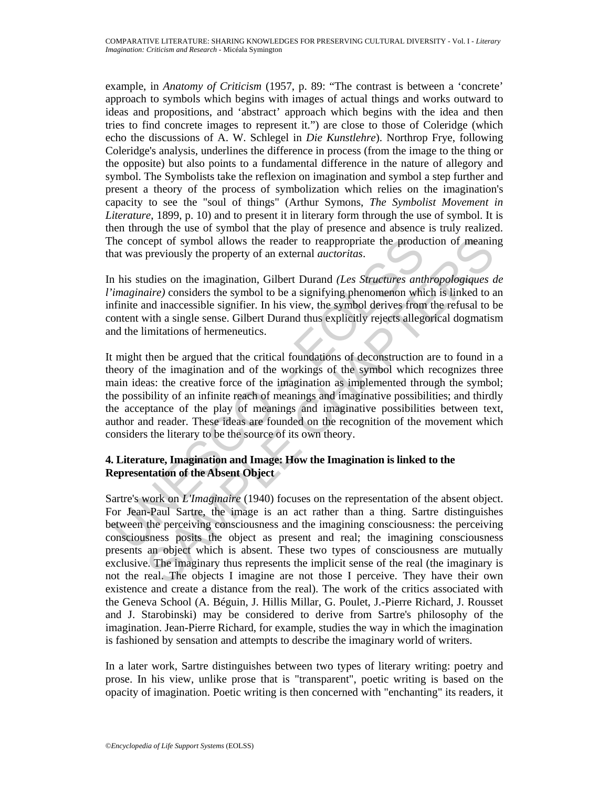example, in *Anatomy of Criticism* (1957, p. 89: "The contrast is between a 'concrete' approach to symbols which begins with images of actual things and works outward to ideas and propositions, and 'abstract' approach which begins with the idea and then tries to find concrete images to represent it.") are close to those of Coleridge (which echo the discussions of A. W. Schlegel in *Die Kunstlehre*). Northrop Frye, following Coleridge's analysis, underlines the difference in process (from the image to the thing or the opposite) but also points to a fundamental difference in the nature of allegory and symbol. The Symbolists take the reflexion on imagination and symbol a step further and present a theory of the process of symbolization which relies on the imagination's capacity to see the "soul of things" (Arthur Symons, *The Symbolist Movement in Literature*, 1899, p. 10) and to present it in literary form through the use of symbol. It is then through the use of symbol that the play of presence and absence is truly realized. The concept of symbol allows the reader to reappropriate the production of meaning that was previously the property of an external *auctoritas*.

In his studies on the imagination, Gilbert Durand *(Les Structures anthropologiques de l'imaginaire*) considers the symbol to be a signifying phenomenon which is linked to an infinite and inaccessible signifier. In his view, the symbol derives from the refusal to be content with a single sense. Gilbert Durand thus explicitly rejects allegorical dogmatism and the limitations of hermeneutics.

the concept of symbol allows the reader to reappropriate the product<br>at was previously the property of an external *auctoritas*.<br>In his studies on the imagination, Gilbert Durand (*Les Structures anti*<br>imaginaire) consider It might then be argued that the critical foundations of deconstruction are to found in a theory of the imagination and of the workings of the symbol which recognizes three main ideas: the creative force of the imagination as implemented through the symbol; the possibility of an infinite reach of meanings and imaginative possibilities; and thirdly the acceptance of the play of meanings and imaginative possibilities between text, author and reader. These ideas are founded on the recognition of the movement which considers the literary to be the source of its own theory.

### **4. Literature, Imagination and Image: How the Imagination is linked to the Representation of the Absent Object**

cept of symbol allows the reader to reappropriate the production of meanin previously the property of an external *auctorias*.<br>
adies on the imagination, Gilbert Durand (*Les Structures anthropologiques aire)* considers th Sartre's work on *L'Imaginaire* (1940) focuses on the representation of the absent object. For Jean-Paul Sartre, the image is an act rather than a thing. Sartre distinguishes between the perceiving consciousness and the imagining consciousness: the perceiving consciousness posits the object as present and real; the imagining consciousness presents an object which is absent. These two types of consciousness are mutually exclusive. The imaginary thus represents the implicit sense of the real (the imaginary is not the real. The objects I imagine are not those I perceive. They have their own existence and create a distance from the real). The work of the critics associated with the Geneva School (A. Béguin, J. Hillis Millar, G. Poulet, J.-Pierre Richard, J. Rousset and J. Starobinski) may be considered to derive from Sartre's philosophy of the imagination. Jean-Pierre Richard, for example, studies the way in which the imagination is fashioned by sensation and attempts to describe the imaginary world of writers.

In a later work, Sartre distinguishes between two types of literary writing: poetry and prose. In his view, unlike prose that is "transparent", poetic writing is based on the opacity of imagination. Poetic writing is then concerned with "enchanting" its readers, it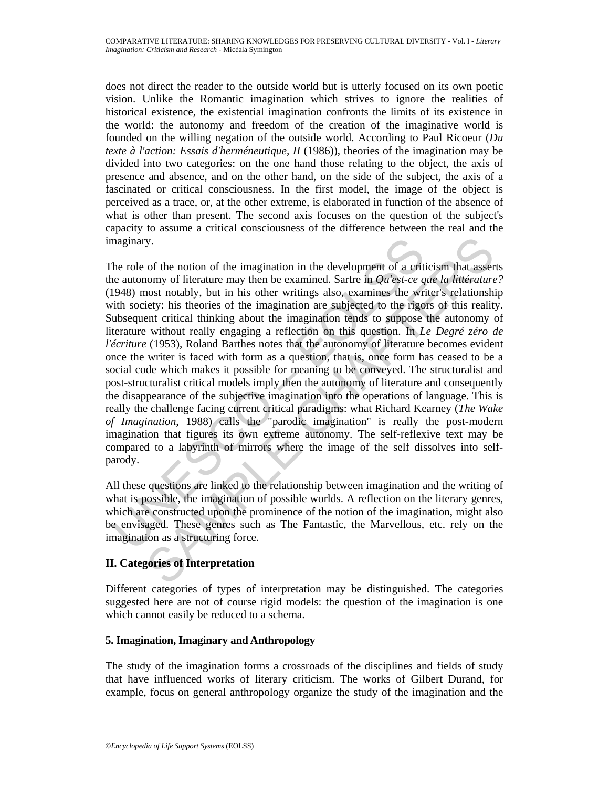does not direct the reader to the outside world but is utterly focused on its own poetic vision. Unlike the Romantic imagination which strives to ignore the realities of historical existence, the existential imagination confronts the limits of its existence in the world: the autonomy and freedom of the creation of the imaginative world is founded on the willing negation of the outside world. According to Paul Ricoeur (*Du texte à l'action: Essais d'herméneutique, II* (1986)), theories of the imagination may be divided into two categories: on the one hand those relating to the object, the axis of presence and absence, and on the other hand, on the side of the subject, the axis of a fascinated or critical consciousness. In the first model, the image of the object is perceived as a trace, or, at the other extreme, is elaborated in function of the absence of what is other than present. The second axis focuses on the question of the subject's capacity to assume a critical consciousness of the difference between the real and the imaginary.

maginary.<br>
the role of the notion of the imagination in the development of a critical entation and the real entation of literature may then be examined. Starte in *Qu'est-ce q* 948) most notably, but in his other writings y.<br>
So the notion of the imagination in the development of a criticism that asseronory of literature may then be examined. Sartre in  $Qu'est-ce que la literature$  nost notaty cost notably, but in his other wiritings also, examines the writer The role of the notion of the imagination in the development of a criticism that asserts the autonomy of literature may then be examined. Sartre in *Qu'est-ce que la littérature?*  (1948) most notably, but in his other writings also, examines the writer's relationship with society: his theories of the imagination are subjected to the rigors of this reality. Subsequent critical thinking about the imagination tends to suppose the autonomy of literature without really engaging a reflection on this question. In *Le Degré zéro de l'écriture* (1953), Roland Barthes notes that the autonomy of literature becomes evident once the writer is faced with form as a question, that is, once form has ceased to be a social code which makes it possible for meaning to be conveyed. The structuralist and post-structuralist critical models imply then the autonomy of literature and consequently the disappearance of the subjective imagination into the operations of language. This is really the challenge facing current critical paradigms: what Richard Kearney (*The Wake of Imagination*, 1988) calls the "parodic imagination" is really the post-modern imagination that figures its own extreme autonomy. The self-reflexive text may be compared to a labyrinth of mirrors where the image of the self dissolves into selfparody.

All these questions are linked to the relationship between imagination and the writing of what is possible, the imagination of possible worlds. A reflection on the literary genres, which are constructed upon the prominence of the notion of the imagination, might also be envisaged. These genres such as The Fantastic, the Marvellous, etc. rely on the imagination as a structuring force.

## **II. Categories of Interpretation**

Different categories of types of interpretation may be distinguished. The categories suggested here are not of course rigid models: the question of the imagination is one which cannot easily be reduced to a schema.

### **5. Imagination, Imaginary and Anthropology**

The study of the imagination forms a crossroads of the disciplines and fields of study that have influenced works of literary criticism. The works of Gilbert Durand, for example, focus on general anthropology organize the study of the imagination and the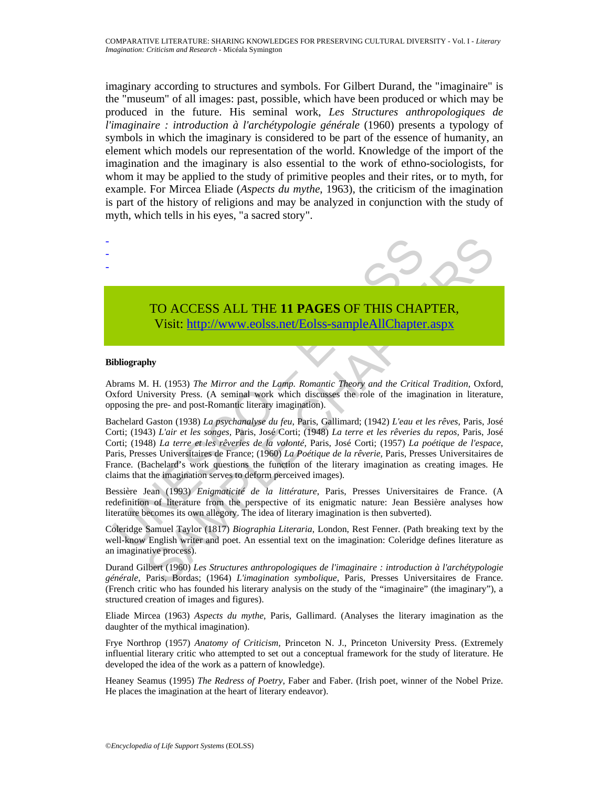imaginary according to structures and symbols. For Gilbert Durand, the "imaginaire" is the "museum" of all images: past, possible, which have been produced or which may be produced in the future. His seminal work, *Les Structures anthropologiques de l'imaginaire : introduction à l'archétypologie générale* (1960) presents a typology of symbols in which the imaginary is considered to be part of the essence of humanity, an element which models our representation of the world. Knowledge of the import of the imagination and the imaginary is also essential to the work of ethno-sociologists, for whom it may be applied to the study of primitive peoples and their rites, or to myth, for example. For Mircea Eliade (*Aspects du mythe*, 1963), the criticism of the imagination is part of the history of religions and may be analyzed in conjunction with the study of myth, which tells in his eyes, "a sacred story".



Visit: http://www.eolss.net/Eolss-sampleAllChapter.aspx

#### **Bibliography**

- - -

Abrams M. H. (1953) *The Mirror and the Lamp. Romantic Theory and the Critical Tradition*, Oxford, Oxford University Press. (A seminal work which discusses the role of the imagination in literature, opposing the pre- and post-Romantic literary imagination).

**TO ACCESS ALL THE 11 PAGES OF THIS CHAI**<br>Visit: http://www.eolss.net/Eolss-sampleAllChapter<br>ibliography<br>throms M. H. (1953) *The Mirror and the Lamp. Romantic Theory and the Critica*<br>ford University Press. (A seminal wor TO ACCESS ALL THE 11 PAGES OF THIS CHA[PTE](https://www.eolss.net/ebooklib/sc_cart.aspx?File=E6-87-03-05)R,<br>
Visit: http://www.eolss.net/Eolss-sampleAllChapter.aspx<br>
why<br>
the Microsofte Chapter and the Lamp. Romantic Theory and the Critical Tradition, Oxformation<br>
in E. (1953) The Mir Bachelard Gaston (1938) *La psychanalyse du feu*, Paris, Gallimard; (1942) *L'eau et les rêves*, Paris, José Corti; (1943) *L'air et les songes,* Paris, José Corti; (1948) *La terre et les rêveries du repos,* Paris, José Corti; (1948) *La terre et les rêveries de la volonté,* Paris, José Corti; (1957) *La poétique de l'espace*, Paris, Presses Universitaires de France; (1960) *La Poétique de la rêverie,* Paris, Presses Universitaires de France. (Bachelard's work questions the function of the literary imagination as creating images. He claims that the imagination serves to deform perceived images).

Bessière Jean (1993) *Enigmaticité de la littérature*, Paris, Presses Universitaires de France. (A redefinition of literature from the perspective of its enigmatic nature: Jean Bessière analyses how literature becomes its own allegory. The idea of literary imagination is then subverted).

Coleridge Samuel Taylor (1817) *Biographia Literaria*, London, Rest Fenner. (Path breaking text by the well-know English writer and poet. An essential text on the imagination: Coleridge defines literature as an imaginative process).

Durand Gilbert (1960) *Les Structures anthropologiques de l'imaginaire : introduction à l'archétypologie générale*, Paris, Bordas; (1964) *L'imagination symbolique*, Paris, Presses Universitaires de France. (French critic who has founded his literary analysis on the study of the "imaginaire" (the imaginary"), a structured creation of images and figures).

Eliade Mircea (1963) *Aspects du mythe*, Paris, Gallimard. (Analyses the literary imagination as the daughter of the mythical imagination).

Frye Northrop (1957) *Anatomy of Criticism,* Princeton N. J., Princeton University Press. (Extremely influential literary critic who attempted to set out a conceptual framework for the study of literature. He developed the idea of the work as a pattern of knowledge).

Heaney Seamus (1995) *The Redress of Poetry*, Faber and Faber. (Irish poet, winner of the Nobel Prize. He places the imagination at the heart of literary endeavor).